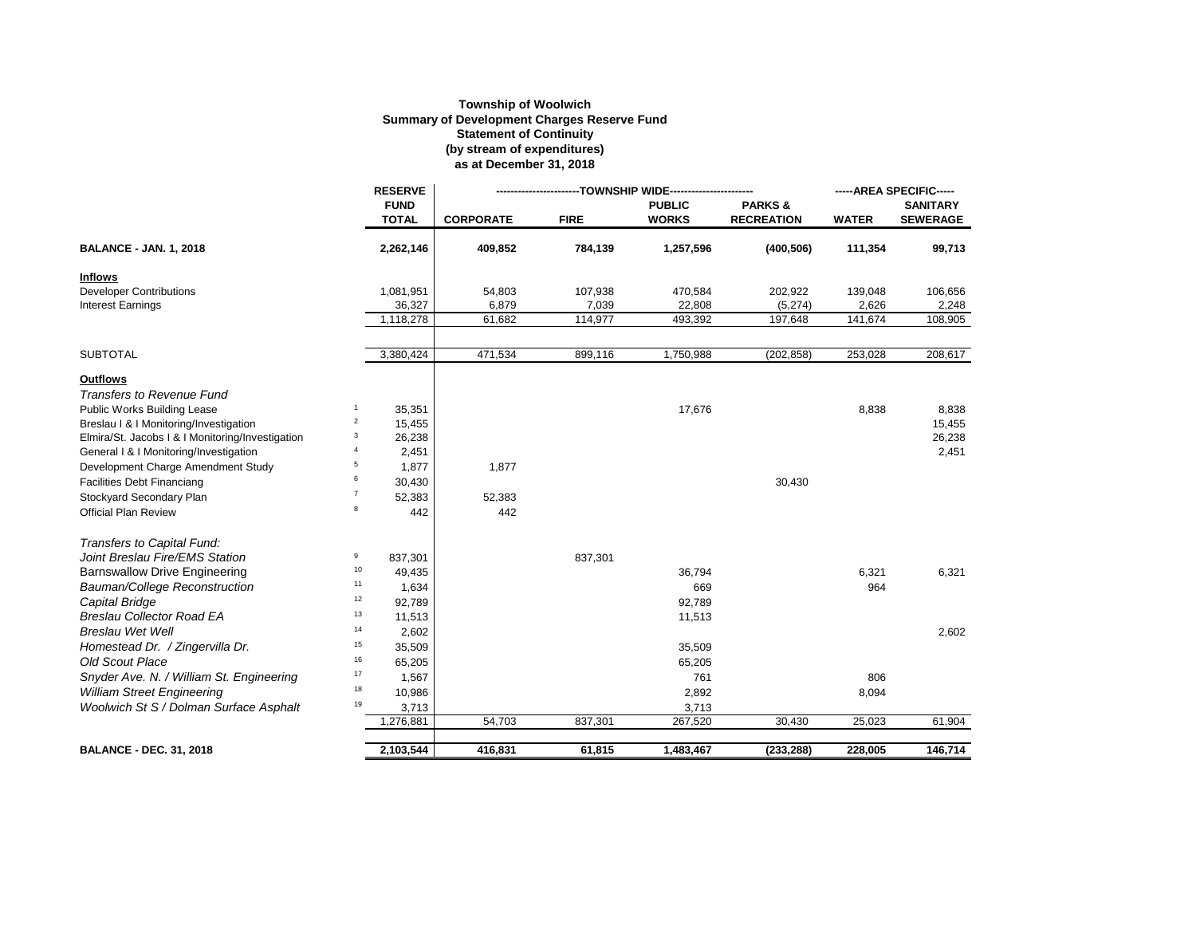## **Township of Woolwich Summary of Development Charges Reserve Fund Statement of Continuity (by stream of expenditures) as at December 31, 2018**

|                                                  |                | <b>RESERVE</b>              | ---TOWNSHIP WIDE-------------- |             |                               |                                        | -----AREA SPECIFIC----- |                                    |
|--------------------------------------------------|----------------|-----------------------------|--------------------------------|-------------|-------------------------------|----------------------------------------|-------------------------|------------------------------------|
|                                                  |                | <b>FUND</b><br><b>TOTAL</b> | <b>CORPORATE</b>               | <b>FIRE</b> | <b>PUBLIC</b><br><b>WORKS</b> | <b>PARKS&amp;</b><br><b>RECREATION</b> | <b>WATER</b>            | <b>SANITARY</b><br><b>SEWERAGE</b> |
| <b>BALANCE - JAN. 1, 2018</b>                    |                | 2,262,146                   | 409,852                        | 784,139     | 1,257,596                     | (400, 506)                             | 111,354                 | 99,713                             |
| <b>Inflows</b>                                   |                |                             |                                |             |                               |                                        |                         |                                    |
| <b>Developer Contributions</b>                   |                | 1,081,951                   | 54,803                         | 107,938     | 470,584                       | 202,922                                | 139,048                 | 106,656                            |
| <b>Interest Earnings</b>                         |                | 36,327                      | 6,879                          | 7,039       | 22,808                        | (5, 274)                               | 2,626                   | 2,248                              |
|                                                  |                | 1,118,278                   | 61,682                         | 114,977     | 493,392                       | 197,648                                | 141,674                 | 108,905                            |
| <b>SUBTOTAL</b>                                  |                | 3,380,424                   | 471,534                        | 899,116     | 1,750,988                     | (202, 858)                             | 253,028                 | 208,617                            |
| <b>Outflows</b>                                  |                |                             |                                |             |                               |                                        |                         |                                    |
| <b>Transfers to Revenue Fund</b>                 |                |                             |                                |             |                               |                                        |                         |                                    |
| Public Works Building Lease                      | $\mathbf{1}$   | 35,351                      |                                |             | 17,676                        |                                        | 8,838                   | 8,838                              |
| Breslau   &   Monitoring/Investigation           | $\overline{c}$ | 15,455                      |                                |             |                               |                                        |                         | 15,455                             |
| Elmira/St. Jacobs   &   Monitoring/Investigation | 3              | 26,238                      |                                |             |                               |                                        |                         | 26,238                             |
| General I & I Monitoring/Investigation           | $\overline{4}$ | 2,451                       |                                |             |                               |                                        |                         | 2,451                              |
| Development Charge Amendment Study               | 5              | 1,877                       | 1,877                          |             |                               |                                        |                         |                                    |
| <b>Facilities Debt Financiang</b>                | 6              | 30,430                      |                                |             |                               | 30,430                                 |                         |                                    |
| Stockyard Secondary Plan                         | $\overline{7}$ | 52,383                      | 52,383                         |             |                               |                                        |                         |                                    |
| <b>Official Plan Review</b>                      | 8              | 442                         | 442                            |             |                               |                                        |                         |                                    |
| Transfers to Capital Fund:                       |                |                             |                                |             |                               |                                        |                         |                                    |
| Joint Breslau Fire/EMS Station                   | 9              | 837,301                     |                                | 837,301     |                               |                                        |                         |                                    |
| <b>Barnswallow Drive Engineering</b>             | 10             | 49,435                      |                                |             | 36,794                        |                                        | 6,321                   | 6,321                              |
| Bauman/College Reconstruction                    | 11             | 1,634                       |                                |             | 669                           |                                        | 964                     |                                    |
| Capital Bridge                                   | 12             | 92,789                      |                                |             | 92,789                        |                                        |                         |                                    |
| <b>Breslau Collector Road EA</b>                 | 13             | 11,513                      |                                |             | 11,513                        |                                        |                         |                                    |
| <b>Breslau Wet Well</b>                          | 14             | 2,602                       |                                |             |                               |                                        |                         | 2,602                              |
| Homestead Dr. / Zingervilla Dr.                  | 15             | 35,509                      |                                |             | 35,509                        |                                        |                         |                                    |
| <b>Old Scout Place</b>                           | 16             | 65,205                      |                                |             | 65,205                        |                                        |                         |                                    |
| Snyder Ave. N. / William St. Engineering         | 17             | 1,567                       |                                |             | 761                           |                                        | 806                     |                                    |
| <b>William Street Engineering</b>                | 18             | 10,986                      |                                |             | 2,892                         |                                        | 8,094                   |                                    |
| Woolwich St S / Dolman Surface Asphalt           | 19             | 3,713                       |                                |             | 3,713                         |                                        |                         |                                    |
|                                                  |                | 1,276,881                   | 54,703                         | 837,301     | 267,520                       | 30,430                                 | 25,023                  | 61,904                             |
| <b>BALANCE - DEC. 31, 2018</b>                   |                | 2.103.544                   | 416,831                        | 61.815      | 1.483.467                     | (233, 288)                             | 228.005                 | 146,714                            |